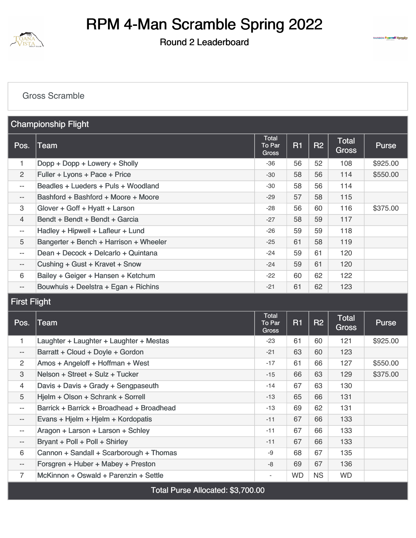

### Round 2 Leaderboard



#### [Gross Scramble](https://static.golfgenius.com/v2tournaments/8450619440449506091?called_from=&round_index=2)

|                          | <b>Championship Flight</b>             |                                 |    |                |                       |              |
|--------------------------|----------------------------------------|---------------------------------|----|----------------|-----------------------|--------------|
| Pos.                     | <b>Team</b>                            | <b>Total</b><br>To Par<br>Gross | R1 | R <sub>2</sub> | Total<br><b>Gross</b> | <b>Purse</b> |
| 1                        | Dopp + Dopp + Lowery + Sholly          | $-36$                           | 56 | 52             | 108                   | \$925.00     |
| 2                        | Fuller + Lyons + Pace + Price          | $-30$                           | 58 | 56             | 114                   | \$550.00     |
| $- -$                    | Beadles + Lueders + Puls + Woodland    | -30                             | 58 | 56             | 114                   |              |
| $\overline{\phantom{a}}$ | Bashford + Bashford + Moore + Moore    | $-29$                           | 57 | 58             | 115                   |              |
| 3                        | Glover + Goff + Hyatt + Larson         | $-28$                           | 56 | 60             | 116                   | \$375.00     |
| $\overline{4}$           | Bendt + Bendt + Bendt + Garcia         | $-27$                           | 58 | 59             | 117                   |              |
| $--$                     | Hadley + Hipwell + Lafleur + Lund      | $-26$                           | 59 | 59             | 118                   |              |
| 5                        | Bangerter + Bench + Harrison + Wheeler | $-25$                           | 61 | 58             | 119                   |              |
| $--$                     | Dean + Decock + Delcarlo + Quintana    | $-24$                           | 59 | 61             | 120                   |              |
| $- -$                    | Cushing + Gust + Kravet + Snow         | $-24$                           | 59 | 61             | 120                   |              |
| 6                        | Bailey + Geiger + Hansen + Ketchum     | $-22$                           | 60 | 62             | 122                   |              |
| $-\,-$                   | Bouwhuis + Deelstra + Egan + Richins   | $-21$                           | 61 | 62             | 123                   |              |

## First Flight

| Pos.                     | Team                                      | Total<br>To Par<br><b>Gross</b> | <b>R1</b> | <b>R2</b> | <b>Total</b><br><b>Gross</b> | <b>Purse</b> |
|--------------------------|-------------------------------------------|---------------------------------|-----------|-----------|------------------------------|--------------|
| 1                        | Laughter + Laughter + Laughter + Mestas   | $-23$                           | 61        | 60        | 121                          | \$925.00     |
| $\overline{\phantom{a}}$ | Barratt + Cloud + Doyle + Gordon          | $-21$                           | 63        | 60        | 123                          |              |
| $\overline{2}$           | Amos + Angeloff + Hoffman + West          | $-17$                           | 61        | 66        | 127                          | \$550.00     |
| 3                        | Nelson + Street + Sulz + Tucker           | $-15$                           | 66        | 63        | 129                          | \$375.00     |
| $\overline{4}$           | Davis + Davis + Grady + Sengpaseuth       | $-14$                           | 67        | 63        | 130                          |              |
| 5                        | Hjelm + Olson + Schrank + Sorrell         | $-13$                           | 65        | 66        | 131                          |              |
| $- -$                    | Barrick + Barrick + Broadhead + Broadhead | $-13$                           | 69        | 62        | 131                          |              |
| $--$                     | Evans + Hjelm + Hjelm + Kordopatis        | $-11$                           | 67        | 66        | 133                          |              |
| $- -$                    | Aragon + Larson + Larson + Schley         | $-11$                           | 67        | 66        | 133                          |              |
| $- -$                    | Bryant + Poll + Poll + Shirley            | $-11$                           | 67        | 66        | 133                          |              |
| 6                        | Cannon + Sandall + Scarborough + Thomas   | -9                              | 68        | 67        | 135                          |              |
| $--$                     | Forsgren + Huber + Mabey + Preston        | $-8$                            | 69        | 67        | 136                          |              |
| $\overline{7}$           | McKinnon + Oswald + Parenzin + Settle     | $\overline{\phantom{a}}$        | <b>WD</b> | <b>NS</b> | <b>WD</b>                    |              |
|                          | Total Purse Allocated: \$3,700.00         |                                 |           |           |                              |              |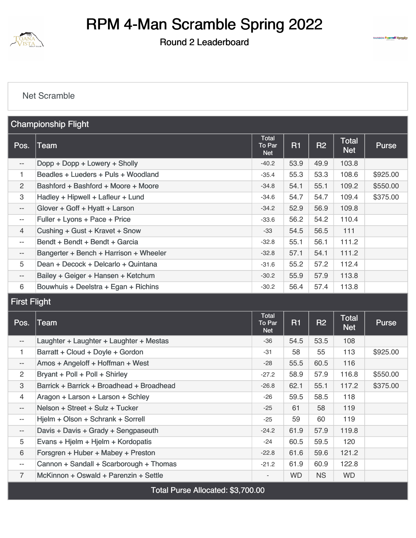

#### Round 2 Leaderboard



#### [Net Scramble](https://static.golfgenius.com/v2tournaments/8450619454575921964?called_from=&round_index=2)

|                          | <b>Championship Flight</b>             |                               |           |           |                            |          |
|--------------------------|----------------------------------------|-------------------------------|-----------|-----------|----------------------------|----------|
| Pos.                     | <b>Team</b>                            | Total<br>To Par<br><b>Net</b> | <b>R1</b> | <b>R2</b> | <b>Total</b><br><b>Net</b> | Purse    |
| $\overline{\phantom{m}}$ | Dopp + Dopp + Lowery + Sholly          | $-40.2$                       | 53.9      | 49.9      | 103.8                      |          |
| 1                        | Beadles + Lueders + Puls + Woodland    | $-35.4$                       | 55.3      | 53.3      | 108.6                      | \$925.00 |
| 2                        | Bashford + Bashford + Moore + Moore    | $-34.8$                       | 54.1      | 55.1      | 109.2                      | \$550.00 |
| 3                        | Hadley + Hipwell + Lafleur + Lund      | $-34.6$                       | 54.7      | 54.7      | 109.4                      | \$375.00 |
| $\overline{\phantom{a}}$ | Glover + Goff + Hyatt + Larson         | $-34.2$                       | 52.9      | 56.9      | 109.8                      |          |
| $- -$                    | Fuller + Lyons + Pace + Price          | $-33.6$                       | 56.2      | 54.2      | 110.4                      |          |
| $\overline{4}$           | Cushing + Gust + Kravet + Snow         | -33                           | 54.5      | 56.5      | 111                        |          |
| $\qquad \qquad -$        | Bendt + Bendt + Bendt + Garcia         | $-32.8$                       | 55.1      | 56.1      | 111.2                      |          |
| $- -$                    | Bangerter + Bench + Harrison + Wheeler | $-32.8$                       | 57.1      | 54.1      | 111.2                      |          |
| 5                        | Dean + Decock + Delcarlo + Quintana    | $-31.6$                       | 55.2      | 57.2      | 112.4                      |          |
| $\overline{\phantom{a}}$ | Bailey + Geiger + Hansen + Ketchum     | $-30.2$                       | 55.9      | 57.9      | 113.8                      |          |
| 6                        | Bouwhuis + Deelstra + Egan + Richins   | $-30.2$                       | 56.4      | 57.4      | 113.8                      |          |

## First Flight

| Pos.                     | Team                                      | <b>Total</b><br>To Par<br><b>Net</b> | R1        | <b>R2</b> | <b>Total</b><br><b>Net</b> | <b>Purse</b> |
|--------------------------|-------------------------------------------|--------------------------------------|-----------|-----------|----------------------------|--------------|
| $\overline{\phantom{a}}$ | Laughter + Laughter + Laughter + Mestas   | $-36$                                | 54.5      | 53.5      | 108                        |              |
| 1                        | Barratt + Cloud + Doyle + Gordon          | $-31$                                | 58        | 55        | 113                        | \$925.00     |
| $\overline{\phantom{m}}$ | Amos + Angeloff + Hoffman + West          | $-28$                                | 55.5      | 60.5      | 116                        |              |
| 2                        | Bryant + Poll + Poll + Shirley            | $-27.2$                              | 58.9      | 57.9      | 116.8                      | \$550.00     |
| 3                        | Barrick + Barrick + Broadhead + Broadhead | $-26.8$                              | 62.1      | 55.1      | 117.2                      | \$375.00     |
| $\overline{4}$           | Aragon + Larson + Larson + Schley         | $-26$                                | 59.5      | 58.5      | 118                        |              |
| $\qquad \qquad -$        | Nelson + Street + Sulz + Tucker           | $-25$                                | 61        | 58        | 119                        |              |
| $\qquad \qquad -$        | Hjelm + Olson + Schrank + Sorrell         | $-25$                                | 59        | 60        | 119                        |              |
| $\overline{\phantom{a}}$ | Davis + Davis + Grady + Sengpaseuth       | $-24.2$                              | 61.9      | 57.9      | 119.8                      |              |
| 5                        | Evans + Hjelm + Hjelm + Kordopatis        | $-24$                                | 60.5      | 59.5      | 120                        |              |
| 6                        | Forsgren + Huber + Mabey + Preston        | $-22.8$                              | 61.6      | 59.6      | 121.2                      |              |
| $\qquad \qquad -$        | Cannon + Sandall + Scarborough + Thomas   | $-21.2$                              | 61.9      | 60.9      | 122.8                      |              |
| $\overline{7}$           | McKinnon + Oswald + Parenzin + Settle     | $\overline{\phantom{a}}$             | <b>WD</b> | <b>NS</b> | <b>WD</b>                  |              |
|                          | Total Purse Allocated: \$3,700.00         |                                      |           |           |                            |              |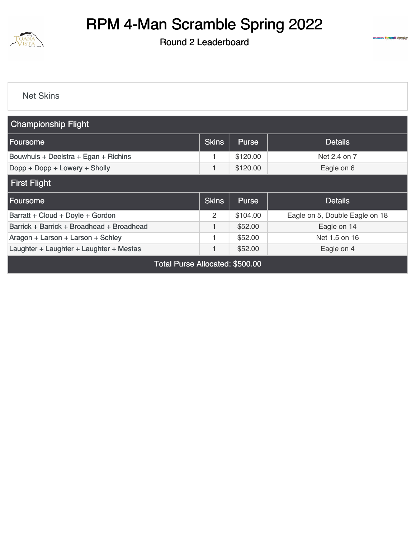

## Round 2 Leaderboard



[Net Skins](https://static.golfgenius.com/v2tournaments/8433937535478057537?called_from=&round_index=2)

| <b>Championship Flight</b>                |              |              |                                |
|-------------------------------------------|--------------|--------------|--------------------------------|
| Foursome                                  | <b>Skins</b> | Purse        | <b>Details</b>                 |
| Bouwhuis + Deelstra + Egan + Richins      |              | \$120.00     | Net 2.4 on 7                   |
| Dopp + Dopp + Lowery + Sholly             |              | \$120.00     | Eagle on 6                     |
| <b>First Flight</b>                       |              |              |                                |
| Foursome                                  | <b>Skins</b> | <b>Purse</b> | <b>Details</b>                 |
| Barratt + Cloud + Doyle + Gordon          | 2            | \$104.00     | Eagle on 5, Double Eagle on 18 |
| Barrick + Barrick + Broadhead + Broadhead |              | \$52.00      | Eagle on 14                    |
| Aragon + Larson + Larson + Schley         |              | \$52.00      | Net 1.5 on 16                  |
| Laughter + Laughter + Laughter + Mestas   |              | \$52.00      | Eagle on 4                     |
| Total Purse Allocated: \$500.00           |              |              |                                |